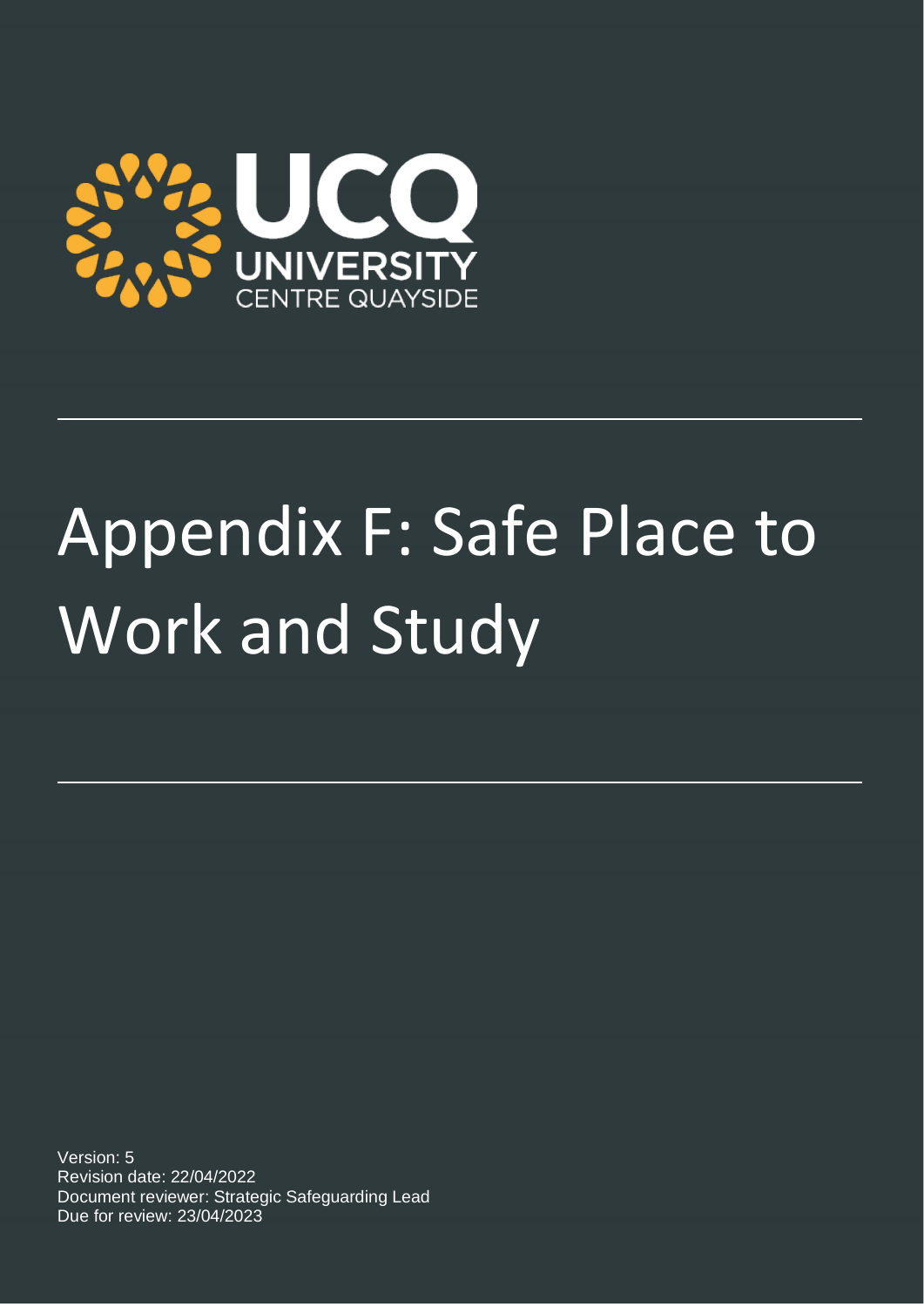

## Appendix F: Safe Place to Work and Study

Version: 5 Revision date: 22/04/2022 Document reviewer: Strategic Safeguarding Lead Due for review: 23/04/2023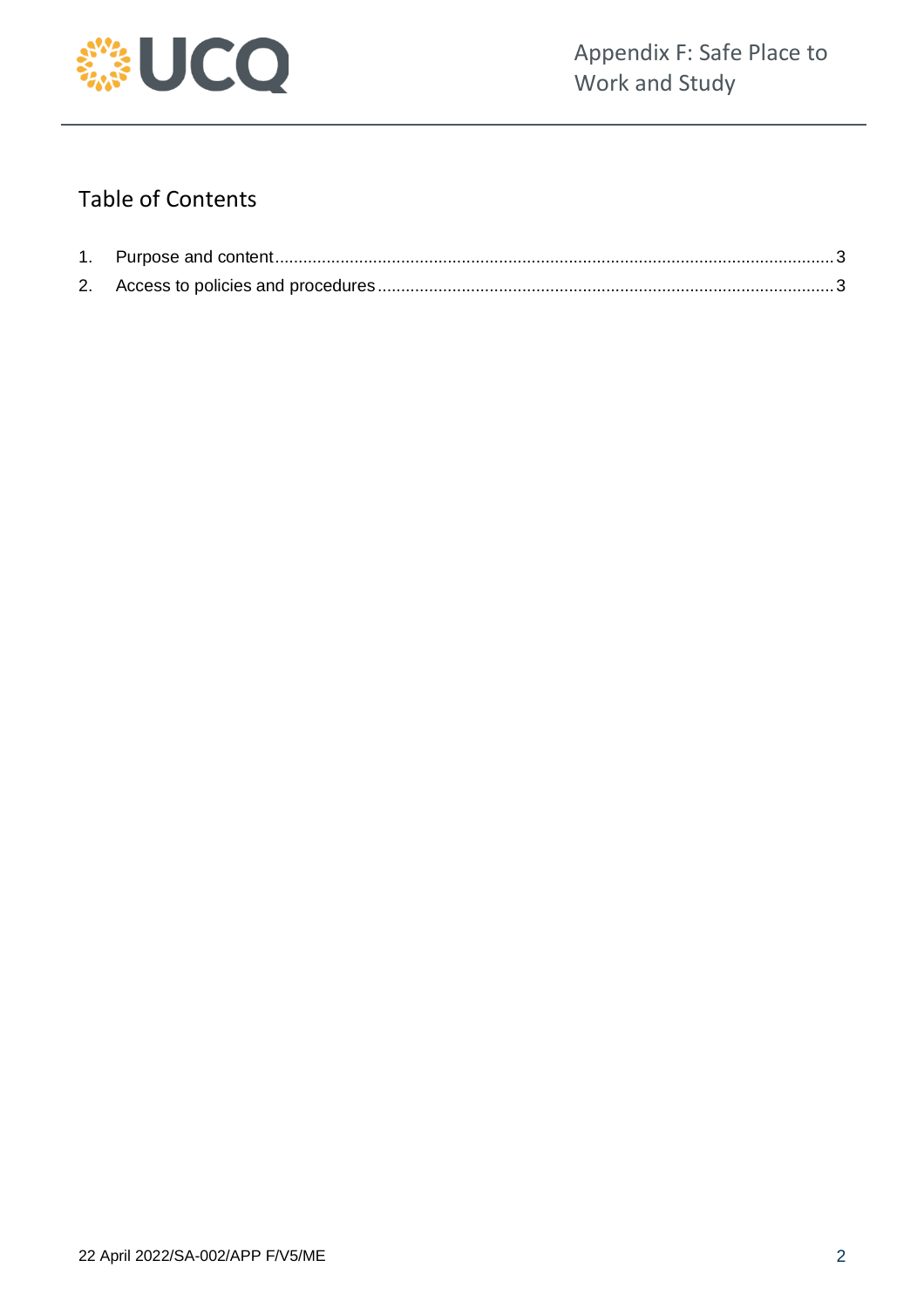

## Table of Contents

<span id="page-1-0"></span>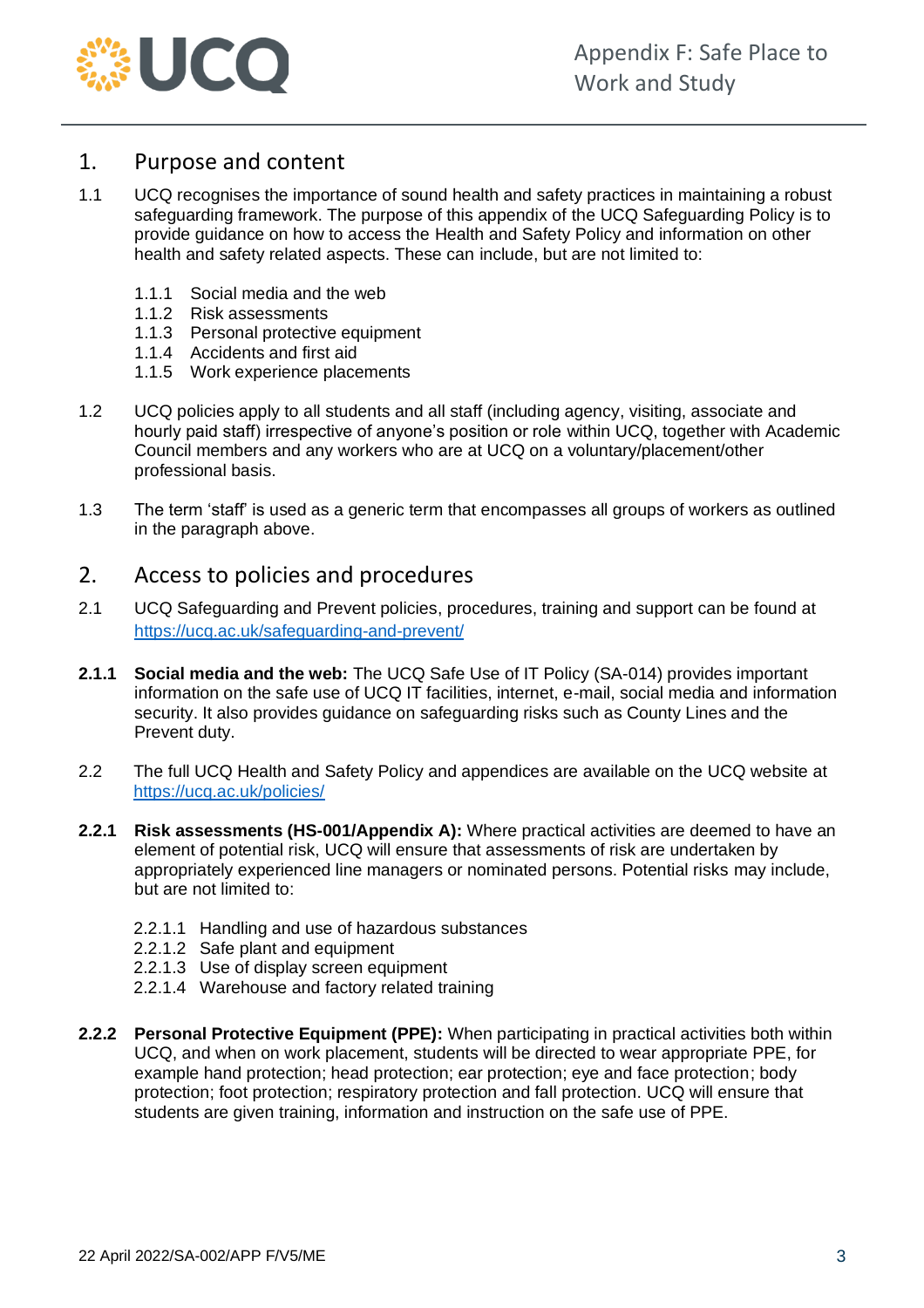

## 1. Purpose and content

- 1.1 UCQ recognises the importance of sound health and safety practices in maintaining a robust safeguarding framework. The purpose of this appendix of the UCQ Safeguarding Policy is to provide guidance on how to access the Health and Safety Policy and information on other health and safety related aspects. These can include, but are not limited to:
	- 1.1.1 Social media and the web
	- 1.1.2 Risk assessments
	- 1.1.3 Personal protective equipment
	- 1.1.4 Accidents and first aid
	- 1.1.5 Work experience placements
- 1.2 UCQ policies apply to all students and all staff (including agency, visiting, associate and hourly paid staff) irrespective of anyone's position or role within UCQ, together with Academic Council members and any workers who are at UCQ on a voluntary/placement/other professional basis.
- 1.3 The term 'staff' is used as a generic term that encompasses all groups of workers as outlined in the paragraph above.

## <span id="page-2-0"></span>2. Access to policies and procedures

- 2.1 UCQ Safeguarding and Prevent policies, procedures, training and support can be found at <https://ucq.ac.uk/safeguarding-and-prevent/>
- **2.1.1 Social media and the web:** The UCQ Safe Use of IT Policy (SA-014) provides important information on the safe use of UCQ IT facilities, internet, e-mail, social media and information security. It also provides guidance on safeguarding risks such as County Lines and the Prevent duty.
- 2.2 The full UCQ Health and Safety Policy and appendices are available on the UCQ website at <https://ucq.ac.uk/policies/>
- **2.2.1 Risk assessments (HS-001/Appendix A):** Where practical activities are deemed to have an element of potential risk, UCQ will ensure that assessments of risk are undertaken by appropriately experienced line managers or nominated persons. Potential risks may include, but are not limited to:
	- 2.2.1.1 Handling and use of hazardous substances
	- 2.2.1.2 Safe plant and equipment
	- 2.2.1.3 Use of display screen equipment
	- 2.2.1.4 Warehouse and factory related training
- **2.2.2 Personal Protective Equipment (PPE):** When participating in practical activities both within UCQ, and when on work placement, students will be directed to wear appropriate PPE, for example hand protection; head protection; ear protection; eye and face protection; body protection; foot protection; respiratory protection and fall protection. UCQ will ensure that students are given training, information and instruction on the safe use of PPE.